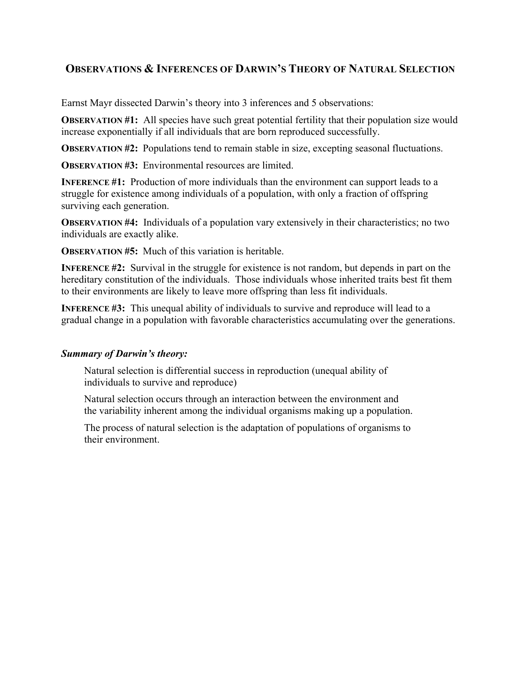## **OBSERVATIONS & INFERENCES OF DARWIN'S THEORY OF NATURAL SELECTION**

Earnst Mayr dissected Darwin's theory into 3 inferences and 5 observations:

**OBSERVATION #1:** All species have such great potential fertility that their population size would increase exponentially if all individuals that are born reproduced successfully.

**OBSERVATION #2:** Populations tend to remain stable in size, excepting seasonal fluctuations.

**OBSERVATION #3:** Environmental resources are limited

**INFERENCE #1:** Production of more individuals than the environment can support leads to a struggle for existence among individuals of a population, with only a fraction of offspring surviving each generation.

**OBSERVATION #4:** Individuals of a population vary extensively in their characteristics; no two individuals are exactly alike.

**OBSERVATION #5:** Much of this variation is heritable.

**INFERENCE #2:** Survival in the struggle for existence is not random, but depends in part on the hereditary constitution of the individuals. Those individuals whose inherited traits best fit them to their environments are likely to leave more offspring than less fit individuals.

**INFERENCE #3:** This unequal ability of individuals to survive and reproduce will lead to a gradual change in a population with favorable characteristics accumulating over the generations.

## *Summary of Darwin's theory:*

Natural selection is differential success in reproduction (unequal ability of individuals to survive and reproduce)

Natural selection occurs through an interaction between the environment and the variability inherent among the individual organisms making up a population.

The process of natural selection is the adaptation of populations of organisms to their environment.